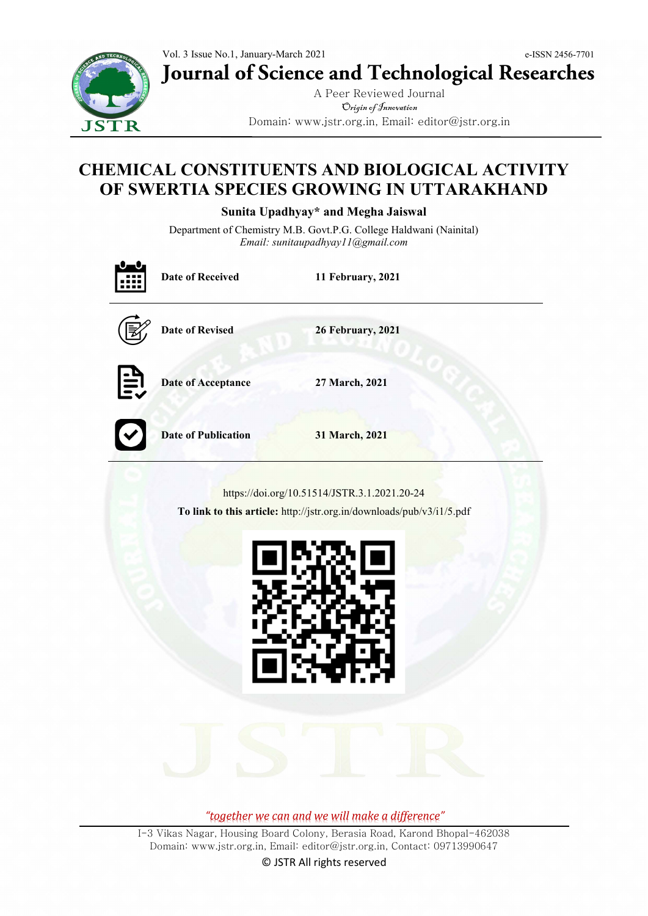Vol. 3 Issue No.1, January-March 2021 e-ISSN 2456-7701 **Journal of Science and Technological Researches**



A Peer Reviewed Journal Origin of Innovation Domain: www.jstr.org.in, Email: editor@jstr.org.in

# **CHEMICAL CONSTITUENTS AND BIOLOGICAL ACTIVITY OF SWERTIA SPECIES GROWING IN UTTARAKHAND**

**Sunita Upadhyay\* and Megha Jaiswal**

Department of Chemistry M.B. Govt.P.G. College Haldwani (Nainital) *Email: sunitaupadhyay11@gmail.com*

|                                                                                                                       | <b>Date of Received</b>    | 11 February, 2021        |  |
|-----------------------------------------------------------------------------------------------------------------------|----------------------------|--------------------------|--|
|                                                                                                                       | <b>Date of Revised</b>     | <b>26 February, 2021</b> |  |
| EV                                                                                                                    | <b>Date of Acceptance</b>  | 27 March, 2021           |  |
|                                                                                                                       | <b>Date of Publication</b> | 31 March, 2021           |  |
| https://doi.org/10.51514/JSTR.3.1.2021.20-24<br>To link to this article: http://jstr.org.in/downloads/pub/v3/i1/5.pdf |                            |                          |  |
|                                                                                                                       |                            |                          |  |

*"together we can and we will make a difference"*

I-3 Vikas Nagar, Housing Board Colony, Berasia Road, Karond Bhopal-462038 Domain: www.jstr.org.in, Email: editor@jstr.org.in, Contact: 09713990647 © JSTR All rights reserved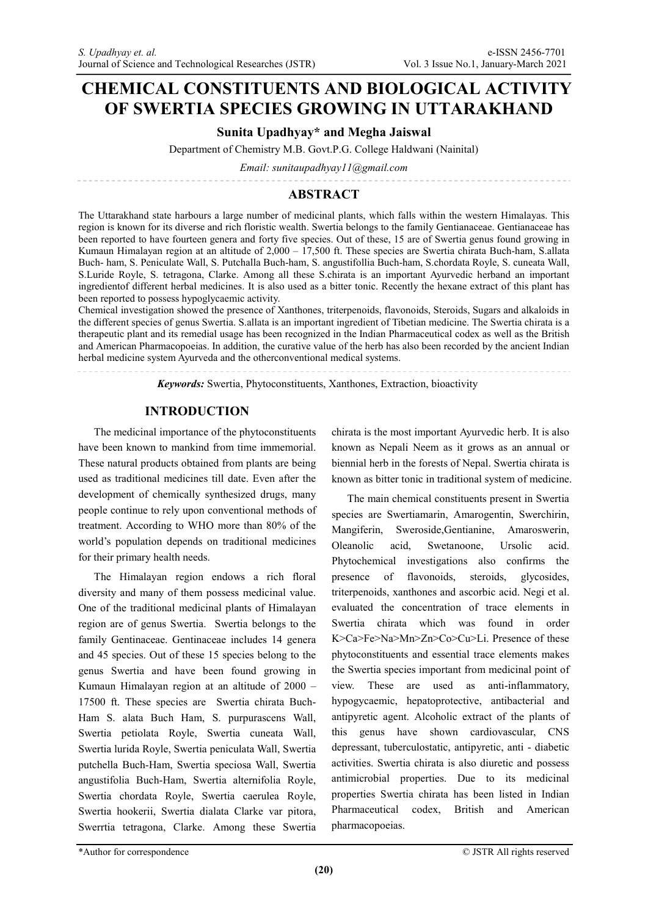# **CHEMICAL CONSTITUENTS AND BIOLOGICAL ACTIVITY OF SWERTIA SPECIES GROWING IN UTTARAKHAND**

# **Sunita Upadhyay\* and Megha Jaiswal**

Department of Chemistry M.B. Govt.P.G. College Haldwani (Nainital)

*Email: sunitaupadhyay11@gmail.com*

# **ABSTRACT**

The Uttarakhand state harbours a large number of medicinal plants, which falls within the western Himalayas. This region is known for its diverse and rich floristic wealth. Swertia belongs to the family Gentianaceae. Gentianaceae has been reported to have fourteen genera and forty five species. Out of these, 15 are of Swertia genus found growing in Kumaun Himalayan region at an altitude of 2,000 – 17,500 ft. These species are Swertia chirata Buch-ham, S.allata Buch- ham, S. Peniculate Wall, S. Putchalla Buch-ham, S. angustifollia Buch-ham, S.chordata Royle, S. cuneata Wall, S.Luride Royle, S. tetragona, Clarke. Among all these S.chirata is an important Ayurvedic herband an important ingredientof different herbal medicines. It is also used as a bitter tonic. Recently the hexane extract of this plant has been reported to possess hypoglycaemic activity.

Chemical investigation showed the presence of Xanthones, triterpenoids, flavonoids, Steroids, Sugars and alkaloids in the different species of genus Swertia. S.allata is an important ingredient of Tibetian medicine. The Swertia chirata is a therapeutic plant and its remedial usage has been recognized in the Indian Pharmaceutical codex as well as the British and American Pharmacopoeias. In addition, the curative value of the herb has also been recorded by the ancient Indian herbal medicine system Ayurveda and the otherconventional medical systems.

*Keywords:* Swertia, Phytoconstituents, Xanthones, Extraction, bioactivity

# **INTRODUCTION**

The medicinal importance of the phytoconstituents have been known to mankind from time immemorial. These natural products obtained from plants are being used as traditional medicines till date. Even after the development of chemically synthesized drugs, many people continue to rely upon conventional methods of treatment. According to WHO more than 80% of the world's population depends on traditional medicines for their primary health needs.

The Himalayan region endows a rich floral diversity and many of them possess medicinal value. One of the traditional medicinal plants of Himalayan region are of genus Swertia. Swertia belongs to the family Gentinaceae. Gentinaceae includes 14 genera and 45 species. Out of these 15 species belong to the genus Swertia and have been found growing in Kumaun Himalayan region at an altitude of 2000 – 17500 ft. These species are Swertia chirata Buch-Ham S. alata Buch Ham, S. purpurascens Wall, Swertia petiolata Royle, Swertia cuneata Wall, Swertia lurida Royle, Swertia peniculata Wall, Swertia putchella Buch-Ham, Swertia speciosa Wall, Swertia angustifolia Buch-Ham, Swertia alternifolia Royle, Swertia chordata Royle, Swertia caerulea Royle, Swertia hookerii, Swertia dialata Clarke var pitora, Swerrtia tetragona, Clarke. Among these Swertia

chirata is the most important Ayurvedic herb. It is also known as Nepali Neem as it grows as an annual or biennial herb in the forests of Nepal. Swertia chirata is known as bitter tonic in traditional system of medicine.

The main chemical constituents present in Swertia species are Swertiamarin, Amarogentin, Swerchirin, Mangiferin, Sweroside,Gentianine, Amaroswerin, Oleanolic acid, Swetanoone, Ursolic acid. Phytochemical investigations also confirms the presence of flavonoids, steroids, glycosides, triterpenoids, xanthones and ascorbic acid. Negi et al. evaluated the concentration of trace elements in Swertia chirata which was found in order K>Ca>Fe>Na>Mn>Zn>Co>Cu>Li. Presence of these phytoconstituents and essential trace elements makes the Swertia species important from medicinal point of view. These are used as anti-inflammatory, hypogycaemic, hepatoprotective, antibacterial and antipyretic agent. Alcoholic extract of the plants of this genus have shown cardiovascular, CNS depressant, tuberculostatic, antipyretic, anti - diabetic activities. Swertia chirata is also diuretic and possess antimicrobial properties. Due to its medicinal properties Swertia chirata has been listed in Indian Pharmaceutical codex, British and American pharmacopoeias.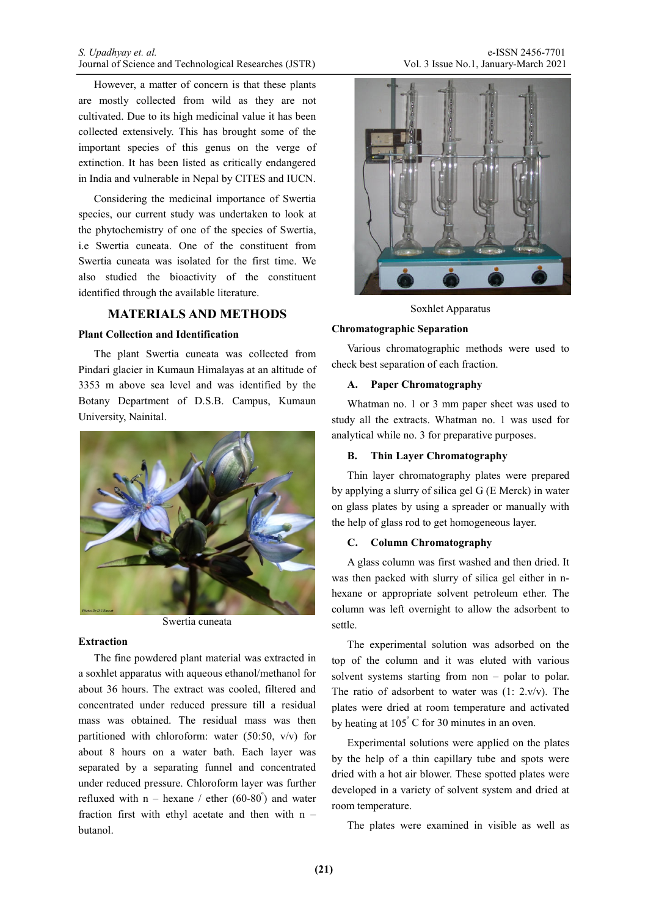However, a matter of concern is that these plants are mostly collected from wild as they are not cultivated. Due to its high medicinal value it has been collected extensively. This has brought some of the important species of this genus on the verge of extinction. It has been listed as critically endangered in India and vulnerable in Nepal by CITES and IUCN.

Considering the medicinal importance of Swertia species, our current study was undertaken to look at the phytochemistry of one of the species of Swertia, i.e Swertia cuneata. One of the constituent from Swertia cuneata was isolated for the first time. We also studied the bioactivity of the constituent identified through the available literature.

## **MATERIALS AND METHODS**

## **Plant Collection and Identification**

The plant Swertia cuneata was collected from Pindari glacier in Kumaun Himalayas at an altitude of 3353 m above sea level and was identified by the Botany Department of D.S.B. Campus, Kumaun University, Nainital.



Swertia cuneata

## **Extraction**

The fine powdered plant material was extracted in a soxhlet apparatus with aqueous ethanol/methanol for about 36 hours. The extract was cooled, filtered and concentrated under reduced pressure till a residual mass was obtained. The residual mass was then partitioned with chloroform: water (50:50, v/v) for about 8 hours on a water bath. Each layer was separated by a separating funnel and concentrated under reduced pressure. Chloroform layer was further refluxed with  $n - h$ exane / ether  $(60-80^{\degree})$  and water fraction first with ethyl acetate and then with n – butanol.



Soxhlet Apparatus

#### **Chromatographic Separation**

Various chromatographic methods were used to check best separation of each fraction.

### **A. Paper Chromatography**

Whatman no. 1 or 3 mm paper sheet was used to study all the extracts. Whatman no. 1 was used for analytical while no. 3 for preparative purposes.

#### **B. Thin Layer Chromatography**

Thin layer chromatography plates were prepared by applying a slurry of silica gel G (E Merck) in water on glass plates by using a spreader or manually with the help of glass rod to get homogeneous layer.

#### **C. Column Chromatography**

A glass column was first washed and then dried. It was then packed with slurry of silica gel either in nhexane or appropriate solvent petroleum ether. The column was left overnight to allow the adsorbent to settle.

The experimental solution was adsorbed on the top of the column and it was eluted with various solvent systems starting from non – polar to polar. The ratio of adsorbent to water was  $(1: 2.v/v)$ . The plates were dried at room temperature and activated by heating at  $105^{\circ}$  C for 30 minutes in an oven.

Experimental solutions were applied on the plates by the help of a thin capillary tube and spots were dried with a hot air blower. These spotted plates were developed in a variety of solvent system and dried at room temperature.

The plates were examined in visible as well as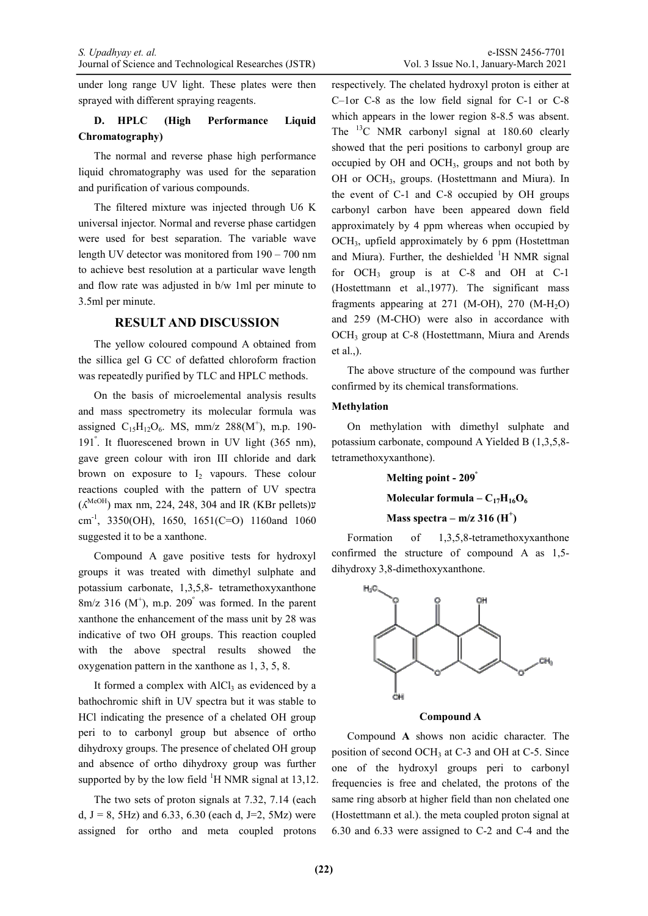under long range UV light. These plates were then sprayed with different spraying reagents.

# **D. HPLC (High Performance Liquid Chromatography)**

The normal and reverse phase high performance liquid chromatography was used for the separation and purification of various compounds.

The filtered mixture was injected through U6 K universal injector. Normal and reverse phase cartidgen were used for best separation. The variable wave length UV detector was monitored from 190 – 700 nm to achieve best resolution at a particular wave length and flow rate was adjusted in b/w 1ml per minute to 3.5ml per minute.

## **RESULT AND DISCUSSION**

The yellow coloured compound A obtained from the sillica gel G CC of defatted chloroform fraction was repeatedly purified by TLC and HPLC methods.

On the basis of microelemental analysis results and mass spectrometry its molecular formula was assigned  $C_{15}H_{12}O_6$ . MS, mm/z 288(M<sup>+</sup>), m.p. 190-191<sup>º</sup> . It fluorescened brown in UV light (365 nm), gave green colour with iron III chloride and dark brown on exposure to  $I_2$  vapours. These colour reactions coupled with the pattern of UV spectra  $($ K<sup>MeOH</sup>) max nm, 224, 248, 304 and IR (KBr pellets) $\nu$ cm<sup>-1</sup>, 3350(OH), 1650, 1651(C=O) 1160and 1060 suggested it to be a xanthone.

Compound A gave positive tests for hydroxyl groups it was treated with dimethyl sulphate and potassium carbonate, 1,3,5,8- tetramethoxyxanthone  $8m/z$  316 (M<sup>+</sup>), m.p. 209<sup>°</sup> was formed. In the parent xanthone the enhancement of the mass unit by 28 was indicative of two OH groups. This reaction coupled with the above spectral results showed the oxygenation pattern in the xanthone as 1, 3, 5, 8.

It formed a complex with  $AICI<sub>3</sub>$  as evidenced by a bathochromic shift in UV spectra but it was stable to HCl indicating the presence of a chelated OH group peri to to carbonyl group but absence of ortho dihydroxy groups. The presence of chelated OH group and absence of ortho dihydroxy group was further supported by by the low field  ${}^{1}$ H NMR signal at 13,12.

The two sets of proton signals at 7.32, 7.14 (each d,  $J = 8$ , 5Hz) and 6.33, 6.30 (each d, J=2, 5Mz) were assigned for ortho and meta coupled protons respectively. The chelated hydroxyl proton is either at C–1or C-8 as the low field signal for C-1 or C-8 which appears in the lower region 8-8.5 was absent. The  $^{13}$ C NMR carbonyl signal at 180.60 clearly showed that the peri positions to carbonyl group are occupied by OH and OCH<sub>3</sub>, groups and not both by OH or OCH3, groups. (Hostettmann and Miura). In the event of C-1 and C-8 occupied by OH groups carbonyl carbon have been appeared down field approximately by 4 ppm whereas when occupied by OCH3, upfield approximately by 6 ppm (Hostettman and Miura). Further, the deshielded  ${}^{1}H$  NMR signal for OCH3 group is at C-8 and OH at C-1 (Hostettmann et al.,1977). The significant mass fragments appearing at 271 (M-OH), 270 (M-H<sub>2</sub>O) and 259 (M-CHO) were also in accordance with OCH<sub>3</sub> group at C-8 (Hostettmann, Miura and Arends et al.,).

The above structure of the compound was further confirmed by its chemical transformations.

#### **Methylation**

On methylation with dimethyl sulphate and potassium carbonate, compound A Yielded B (1,3,5,8 tetramethoxyxanthone).

#### **Melting point - 209<sup>º</sup>**

**Molecular formula –**  $C_{17}H_{16}O_6$ 

# **Mass spectra – m/z 316 (H<sup>+</sup> )**

Formation of 1,3,5,8-tetramethoxyxanthone confirmed the structure of compound A as 1,5 dihydroxy 3,8-dimethoxyxanthone.



**Compound A** 

Compound **A** shows non acidic character. The position of second OCH<sub>3</sub> at C-3 and OH at C-5. Since one of the hydroxyl groups peri to carbonyl frequencies is free and chelated, the protons of the same ring absorb at higher field than non chelated one (Hostettmann et al.). the meta coupled proton signal at 6.30 and 6.33 were assigned to C-2 and C-4 and the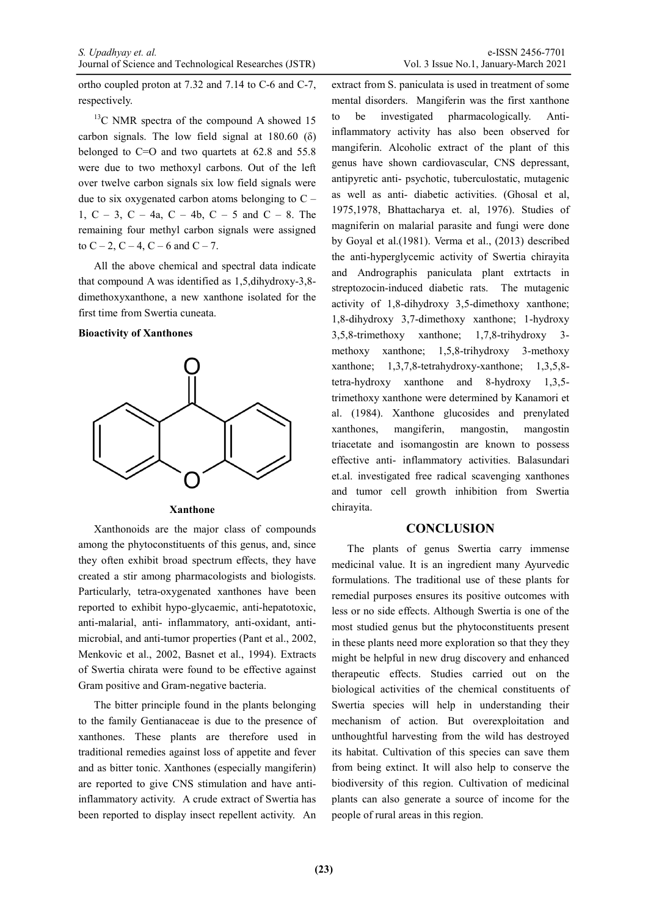ortho coupled proton at 7.32 and 7.14 to C-6 and C-7, respectively.

<sup>13</sup>C NMR spectra of the compound A showed 15 carbon signals. The low field signal at  $180.60$  ( $\delta$ ) belonged to C=O and two quartets at 62.8 and 55.8 were due to two methoxyl carbons. Out of the left over twelve carbon signals six low field signals were due to six oxygenated carbon atoms belonging to  $C -$ 1,  $C - 3$ ,  $C - 4a$ ,  $C - 4b$ ,  $C - 5$  and  $C - 8$ . The remaining four methyl carbon signals were assigned to  $C - 2$ ,  $C - 4$ ,  $C - 6$  and  $C - 7$ .

All the above chemical and spectral data indicate that compound A was identified as 1,5,dihydroxy-3,8 dimethoxyxanthone, a new xanthone isolated for the first time from Swertia cuneata.

#### **Bioactivity of Xanthones**



**Xanthone**

Xanthonoids are the major class of compounds among the phytoconstituents of this genus, and, since they often exhibit broad spectrum effects, they have created a stir among pharmacologists and biologists. Particularly, tetra-oxygenated xanthones have been reported to exhibit hypo-glycaemic, anti-hepatotoxic, anti-malarial, anti- inflammatory, anti-oxidant, antimicrobial, and anti-tumor properties (Pant et al., 2002, Menkovic et al., 2002, Basnet et al., 1994). Extracts of Swertia chirata were found to be effective against Gram positive and Gram-negative bacteria.

The bitter principle found in the plants belonging to the family Gentianaceae is due to the presence of xanthones. These plants are therefore used in traditional remedies against loss of appetite and fever and as bitter tonic. Xanthones (especially mangiferin) are reported to give CNS stimulation and have antiinflammatory activity. A crude extract of Swertia has been reported to display insect repellent activity. An extract from S. paniculata is used in treatment of some mental disorders. Mangiferin was the first xanthone to be investigated pharmacologically. Antiinflammatory activity has also been observed for mangiferin. Alcoholic extract of the plant of this genus have shown cardiovascular, CNS depressant, antipyretic anti- psychotic, tuberculostatic, mutagenic as well as anti- diabetic activities. (Ghosal et al, 1975,1978, Bhattacharya et. al, 1976). Studies of magniferin on malarial parasite and fungi were done by Goyal et al.(1981). Verma et al., (2013) described the anti-hyperglycemic activity of Swertia chirayita and Andrographis paniculata plant extrtacts in streptozocin-induced diabetic rats. The mutagenic activity of 1,8-dihydroxy 3,5-dimethoxy xanthone; 1,8-dihydroxy 3,7-dimethoxy xanthone; 1-hydroxy 3,5,8-trimethoxy xanthone; 1,7,8-trihydroxy 3 methoxy xanthone; 1,5,8-trihydroxy 3-methoxy xanthone; 1,3,7,8-tetrahydroxy-xanthone; 1,3,5,8 tetra-hydroxy xanthone and 8-hydroxy 1,3,5 trimethoxy xanthone were determined by Kanamori et al. (1984). Xanthone glucosides and prenylated xanthones, mangiferin, mangostin, mangostin triacetate and isomangostin are known to possess effective anti- inflammatory activities. Balasundari et.al. investigated free radical scavenging xanthones and tumor cell growth inhibition from Swertia chirayita.

## **CONCLUSION**

The plants of genus Swertia carry immense medicinal value. It is an ingredient many Ayurvedic formulations. The traditional use of these plants for remedial purposes ensures its positive outcomes with less or no side effects. Although Swertia is one of the most studied genus but the phytoconstituents present in these plants need more exploration so that they they might be helpful in new drug discovery and enhanced therapeutic effects. Studies carried out on the biological activities of the chemical constituents of Swertia species will help in understanding their mechanism of action. But overexploitation and unthoughtful harvesting from the wild has destroyed its habitat. Cultivation of this species can save them from being extinct. It will also help to conserve the biodiversity of this region. Cultivation of medicinal plants can also generate a source of income for the people of rural areas in this region.